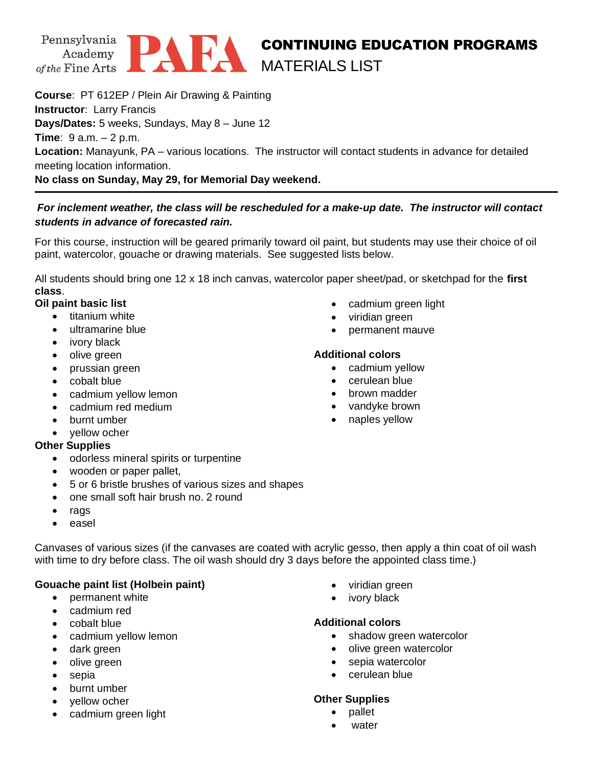



## CONTINUING EDUCATION PROGRAMS MATERIALS LIST

**Course**: PT 612EP / Plein Air Drawing & Painting **Instructor**: Larry Francis **Days/Dates:** 5 weeks, Sundays, May 8 – June 12 **Time**: 9 a.m. – 2 p.m. **Location:** Manayunk, PA – various locations. The instructor will contact students in advance for detailed meeting location information. **No class on Sunday, May 29, for Memorial Day weekend.** 

# *For inclement weather, the class will be rescheduled for a make-up date. The instructor will contact*

## *students in advance of forecasted rain.*

For this course, instruction will be geared primarily toward oil paint, but students may use their choice of oil paint, watercolor, gouache or drawing materials. See suggested lists below.

All students should bring one 12 x 18 inch canvas, watercolor paper sheet/pad, or sketchpad for the **first class**.

#### **Oil paint basic list**

- titanium white
	- ultramarine blue
	- ivory black
	- olive green
	- prussian green
	- cobalt blue
	- cadmium yellow lemon
	- cadmium red medium
	- burnt umber
	- yellow ocher

## **Other Supplies**

- odorless mineral spirits or turpentine
- wooden or paper pallet,
- 5 or 6 bristle brushes of various sizes and shapes
- one small soft hair brush no. 2 round
- rags
- easel

Canvases of various sizes (if the canvases are coated with acrylic gesso, then apply a thin coat of oil wash with time to dry before class. The oil wash should dry 3 days before the appointed class time.)

## **Gouache paint list (Holbein paint)**

- permanent white
- cadmium red
- cobalt blue
- cadmium yellow lemon
- dark green
- olive green
- sepia
- burnt umber
- vellow ocher
- cadmium green light
- cadmium green light
- viridian green
- permanent mauve

## **Additional colors**

- cadmium yellow
- cerulean blue
- brown madder
- vandyke brown
- naples yellow

- viridian green
- ivory black

## **Additional colors**

- shadow green watercolor
- olive green watercolor
- sepia watercolor
- cerulean blue

## **Other Supplies**

- pallet
- water